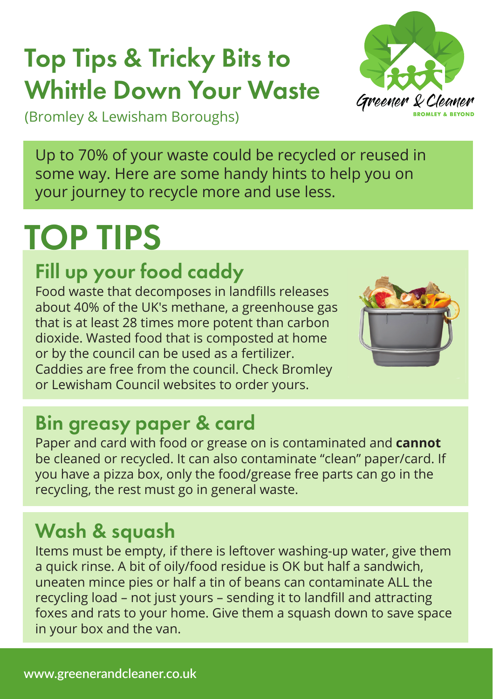## Top Tips & Tricky Bits to Whittle Down Your Waste



(Bromley & Lewisham Boroughs)

Up to 70% of your waste could be recycled or reused in some way. Here are some handy hints to help you on your journey to recycle more and use less.

# TOP TIPS

## Fill up your food caddy

Food waste that decomposes in landfills releases about 40% of the UK's methane, a greenhouse gas that is at least 28 times more potent than carbon dioxide. Wasted food that is composted at home or by the council can be used as a fertilizer. Caddies are free from the council. Check Bromley or Lewisham Council websites to order yours.



## Bin greasy paper & card

Paper and card with food or grease on is contaminated and **cannot**  be cleaned or recycled. It can also contaminate "clean" paper/card. If you have a pizza box, only the food/grease free parts can go in the recycling, the rest must go in general waste.

## Wash & squash

Items must be empty, if there is leftover washing-up water, give them a quick rinse. A bit of oily/food residue is OK but half a sandwich, uneaten mince pies or half a tin of beans can contaminate ALL the recycling load – not just yours – sending it to landfill and attracting foxes and rats to your home. Give them a squash down to save space in your box and the van.